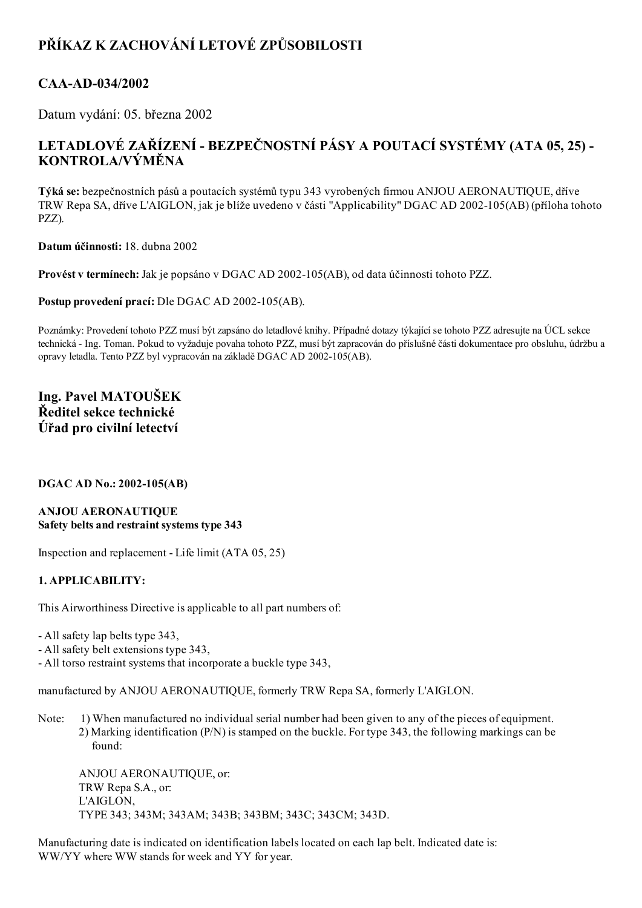# PŘÍKAZ K ZACHOVÁNÍ LETOVÉ ZPŮSOBILOSTI

### CAA-AD-034/2002

Datum vydání: 05. března 2002

## LETADLOVÉ ZAŘÍZENÍ - BEZPEČNOSTNÍ PÁSY A POUTACÍ SYSTÉMY (ATA 05, 25) -KONTROLA/VÝMĚNA

Týká se: bezpečnostních pásů a poutacích systémů typu 343 vyrobených firmou ANJOU AERONAUTIQUE, dříve TRW Repa SA, dříve L'AIGLON, jak je blíže uvedeno v části "Applicability" DGAC AD 2002105(AB) (příloha tohoto PZZ).

Datum účinnosti: 18. dubna 2002

Provést v termínech: Jak je popsáno v DGAC AD 2002-105(AB), od data účinnosti tohoto PZZ.

Postup provedení prací: Dle DGAC AD 2002-105(AB).

Poznámky: Provedení tohoto PZZ musí být zapsáno do letadlové knihy. Případné dotazy týkající se tohoto PZZ adresujte na ÚCL sekce technická Ing. Toman. Pokud to vyžaduje povaha tohoto PZZ, musí být zapracován do příslušné části dokumentace pro obsluhu, údržbu a opravy letadla. Tento PZZ byl vypracován na základě DGAC AD 2002-105(AB).

### Ing. Pavel MATOUŠEK Ředitel sekce technické Úřad pro civilní letectví

#### DGAC AD No.: 2002-105(AB)

#### ANJOU AERONAUTIQUE Safety belts and restraint systems type 343

Inspection and replacement - Life limit  $(ATA 05, 25)$ 

#### 1. APPLICABILITY:

This Airworthiness Directive is applicable to all part numbers of:

All safety lap belts type 343,

All safety belt extensions type 343,

All torso restraint systems that incorporate a buckle type 343,

manufactured by ANJOU AERONAUTIQUE, formerly TRW Repa SA, formerly L'AIGLON.

Note: 1) When manufactured no individual serial number had been given to any of the pieces of equipment. 2) Marking identification (P/N) is stamped on the buckle. For type 343, the following markings can be found:

ANJOU AERONAUTIQUE, or: TRW Repa S.A., or: L'AIGLON, TYPE 343; 343M; 343AM; 343B; 343BM; 343C; 343CM; 343D.

Manufacturing date is indicated on identification labels located on each lap belt. Indicated date is: WW/YY where WW stands for week and YY for year.